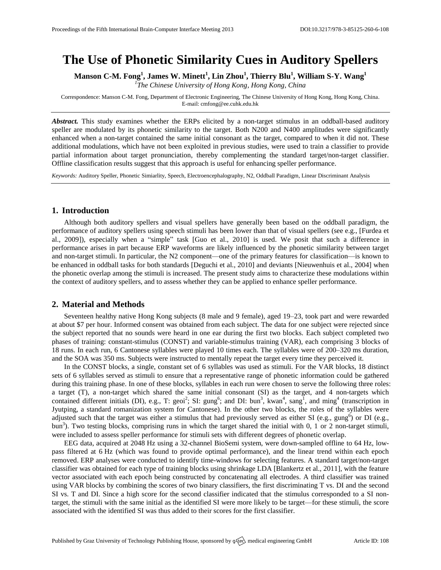# **The Use of Phonetic Similarity Cues in Auditory Spellers**

**Manson C-M. Fong<sup>1</sup> , James W. Minett<sup>1</sup> , Lin Zhou<sup>1</sup> , Thierry Blu<sup>1</sup> , William S-Y. Wang<sup>1</sup>**

*1 The Chinese University of Hong Kong, Hong Kong, China*

Correspondence: Manson C-M. Fong, Department of Electronic Engineering, The Chinese University of Hong Kong, Hong Kong, China. E-mail[: cmfong@ee.cuhk.edu.hk](mailto:cmfong@ee.cuhk.edu.hk)

*Abstract.* This study examines whether the ERPs elicited by a non-target stimulus in an oddball-based auditory speller are modulated by its phonetic similarity to the target. Both N200 and N400 amplitudes were significantly enhanced when a non-target contained the same initial consonant as the target, compared to when it did not. These additional modulations, which have not been exploited in previous studies, were used to train a classifier to provide partial information about target pronunciation, thereby complementing the standard target/non-target classifier. Offline classification results suggest that this approach is useful for enhancing speller performance.

*Keywords:* Auditory Speller, Phonetic Simiarlity, Speech, Electroencephalography, N2, Oddball Paradigm, Linear Discriminant Analysis

## **1. Introduction**

Although both auditory spellers and visual spellers have generally been based on the oddball paradigm, the performance of auditory spellers using speech stimuli has been lower than that of visual spellers (see e.g., [Furdea et al., 2009]), especially when a "simple" task [Guo et al., 2010] is used. We posit that such a difference in performance arises in part because ERP waveforms are likely influenced by the phonetic similarity between target and non-target stimuli. In particular, the N2 component—one of the primary features for classification—is known to be enhanced in oddball tasks for both standards [Deguchi et al., 2010] and deviants [Nieuwenhuis et al., 2004] when the phonetic overlap among the stimuli is increased. The present study aims to characterize these modulations within the context of auditory spellers, and to assess whether they can be applied to enhance speller performance.

## **2. Material and Methods**

Seventeen healthy native Hong Kong subjects (8 male and 9 female), aged 19–23, took part and were rewarded at about \$7 per hour. Informed consent was obtained from each subject. The data for one subject were rejected since the subject reported that no sounds were heard in one ear during the first two blocks. Each subject completed two phases of training: constant-stimulus (CONST) and variable-stimulus training (VAR), each comprising 3 blocks of 18 runs. In each run, 6 Cantonese syllables were played 10 times each. The syllables were of 200–320 ms duration, and the SOA was 350 ms. Subjects were instructed to mentally repeat the target every time they perceived it.

In the CONST blocks, a single, constant set of 6 syllables was used as stimuli. For the VAR blocks, 18 distinct sets of 6 syllables served as stimuli to ensure that a representative range of phonetic information could be gathered during this training phase. In one of these blocks, syllables in each run were chosen to serve the following three roles: a target (T), a non-target which shared the same initial consonant (SI) as the target, and 4 non-targets which contained different initials (DI), e.g., T: geoi<sup>2</sup>; SI: gung<sup>6</sup>; and DI: bun<sup>3</sup>, kwan<sup>4</sup>, sang<sup>1</sup>, and ming<sup>4</sup> (transcription in Jyutping, a standard romanization system for Cantonese). In the other two blocks, the roles of the syllables were adjusted such that the target was either a stimulus that had previously served as either SI (e.g., gung<sup>6</sup>) or DI (e.g., bun<sup>3</sup>). Two testing blocks, comprising runs in which the target shared the initial with 0, 1 or 2 non-target stimuli, were included to assess speller performance for stimuli sets with different degrees of phonetic overlap.

EEG data, acquired at 2048 Hz using a 32-channel BioSemi system, were down-sampled offline to 64 Hz, lowpass filtered at 6 Hz (which was found to provide optimal performance), and the linear trend within each epoch removed. ERP analyses were conducted to identify time-windows for selecting features. A standard target/non-target classifier was obtained for each type of training blocks using shrinkage LDA [Blankertz et al., 2011], with the feature vector associated with each epoch being constructed by concatenating all electrodes. A third classifier was trained using VAR blocks by combining the scores of two binary classifiers, the first discriminating T vs. DI and the second SI vs. T and DI. Since a high score for the second classifier indicated that the stimulus corresponded to a SI nontarget, the stimuli with the same initial as the identified SI were more likely to be target—for these stimuli, the score associated with the identified SI was thus added to their scores for the first classifier.